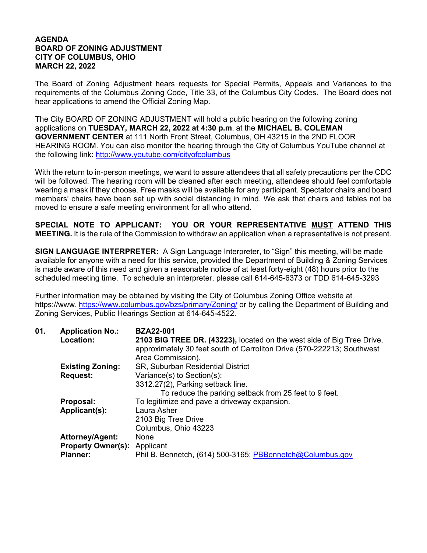## **AGENDA BOARD OF ZONING ADJUSTMENT CITY OF COLUMBUS, OHIO MARCH 22, 2022**

The Board of Zoning Adjustment hears requests for Special Permits, Appeals and Variances to the requirements of the Columbus Zoning Code, Title 33, of the Columbus City Codes. The Board does not hear applications to amend the Official Zoning Map.

The City BOARD OF ZONING ADJUSTMENT will hold a public hearing on the following zoning applications on **TUESDAY, MARCH 22, 2022 at 4:30 p.m**. at the **MICHAEL B. COLEMAN GOVERNMENT CENTER** at 111 North Front Street, Columbus, OH 43215 in the 2ND FLOOR HEARING ROOM. You can also monitor the hearing through the City of Columbus YouTube channel at the following link: http://www.youtube.com/cityofcolumbus

With the return to in-person meetings, we want to assure attendees that all safety precautions per the CDC will be followed. The hearing room will be cleaned after each meeting, attendees should feel comfortable wearing a mask if they choose. Free masks will be available for any participant. Spectator chairs and board members' chairs have been set up with social distancing in mind. We ask that chairs and tables not be moved to ensure a safe meeting environment for all who attend.

**SPECIAL NOTE TO APPLICANT: YOU OR YOUR REPRESENTATIVE MUST ATTEND THIS MEETING.** It is the rule of the Commission to withdraw an application when a representative is not present.

**SIGN LANGUAGE INTERPRETER:** A Sign Language Interpreter, to "Sign" this meeting, will be made available for anyone with a need for this service, provided the Department of Building & Zoning Services is made aware of this need and given a reasonable notice of at least forty-eight (48) hours prior to the scheduled meeting time. To schedule an interpreter, please call 614-645-6373 or TDD 614-645-3293

Further information may be obtained by visiting the City of Columbus Zoning Office website at https://www. https://www.columbus.gov/bzs/primary/Zoning/ or by calling the Department of Building and Zoning Services, Public Hearings Section at 614-645-4522.

| 01. | <b>Application No.:</b>             | <b>BZA22-001</b>                                                       |
|-----|-------------------------------------|------------------------------------------------------------------------|
|     | Location:                           | 2103 BIG TREE DR. (43223), located on the west side of Big Tree Drive, |
|     |                                     | approximately 30 feet south of Carrollton Drive (570-222213; Southwest |
|     |                                     | Area Commission).                                                      |
|     | <b>Existing Zoning:</b>             | SR, Suburban Residential District                                      |
|     | <b>Request:</b>                     | Variance(s) to Section(s):                                             |
|     |                                     | 3312.27(2), Parking setback line.                                      |
|     |                                     | To reduce the parking setback from 25 feet to 9 feet.                  |
|     | Proposal:                           | To legitimize and pave a driveway expansion.                           |
|     | Applicant(s):                       | Laura Asher                                                            |
|     |                                     | 2103 Big Tree Drive                                                    |
|     |                                     | Columbus, Ohio 43223                                                   |
|     | Attorney/Agent:                     | None                                                                   |
|     | <b>Property Owner(s): Applicant</b> |                                                                        |
|     | <b>Planner:</b>                     | Phil B. Bennetch, (614) 500-3165; PBBennetch@Columbus.gov              |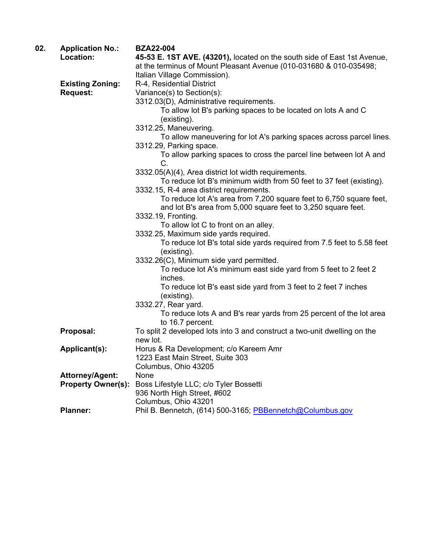| 02. | <b>Application No.:</b>   | <b>BZA22-004</b>                                                                      |
|-----|---------------------------|---------------------------------------------------------------------------------------|
|     | Location:                 | 45-53 E. 1ST AVE. (43201), located on the south side of East 1st Avenue,              |
|     |                           | at the terminus of Mount Pleasant Avenue (010-031680 & 010-035498;                    |
|     |                           | Italian Village Commission).                                                          |
|     | <b>Existing Zoning:</b>   | R-4, Residential District                                                             |
|     | <b>Request:</b>           | Variance(s) to Section(s):                                                            |
|     |                           | 3312.03(D), Administrative requirements.                                              |
|     |                           | To allow lot B's parking spaces to be located on lots A and C                         |
|     |                           | (existing).                                                                           |
|     |                           | 3312.25, Maneuvering.                                                                 |
|     |                           | To allow maneuvering for lot A's parking spaces across parcel lines.                  |
|     |                           | 3312.29, Parking space.                                                               |
|     |                           | To allow parking spaces to cross the parcel line between lot A and                    |
|     |                           | C.                                                                                    |
|     |                           | 3332.05(A)(4), Area district lot width requirements.                                  |
|     |                           | To reduce lot B's minimum width from 50 feet to 37 feet (existing).                   |
|     |                           | 3332.15, R-4 area district requirements.                                              |
|     |                           | To reduce lot A's area from 7,200 square feet to 6,750 square feet,                   |
|     |                           | and lot B's area from 5,000 square feet to 3,250 square feet.                         |
|     |                           | 3332.19, Fronting.                                                                    |
|     |                           | To allow lot C to front on an alley.                                                  |
|     |                           | 3332.25, Maximum side yards required.                                                 |
|     |                           | To reduce lot B's total side yards required from 7.5 feet to 5.58 feet                |
|     |                           | (existing).                                                                           |
|     |                           | 3332.26(C), Minimum side yard permitted.                                              |
|     |                           | To reduce lot A's minimum east side yard from 5 feet to 2 feet 2                      |
|     |                           | inches.                                                                               |
|     |                           | To reduce lot B's east side yard from 3 feet to 2 feet 7 inches                       |
|     |                           | (existing).                                                                           |
|     |                           | 3332.27, Rear yard.                                                                   |
|     |                           | To reduce lots A and B's rear yards from 25 percent of the lot area                   |
|     | Proposal:                 | to 16.7 percent.                                                                      |
|     |                           | To split 2 developed lots into 3 and construct a two-unit dwelling on the<br>new lot. |
|     | Applicant(s):             | Horus & Ra Development; c/o Kareem Amr                                                |
|     |                           | 1223 East Main Street, Suite 303                                                      |
|     |                           | Columbus, Ohio 43205                                                                  |
|     | <b>Attorney/Agent:</b>    | None                                                                                  |
|     | <b>Property Owner(s):</b> | Boss Lifestyle LLC; c/o Tyler Bossetti                                                |
|     |                           | 936 North High Street, #602                                                           |
|     |                           | Columbus, Ohio 43201                                                                  |
|     | <b>Planner:</b>           | Phil B. Bennetch, (614) 500-3165; PBBennetch@Columbus.gov                             |
|     |                           |                                                                                       |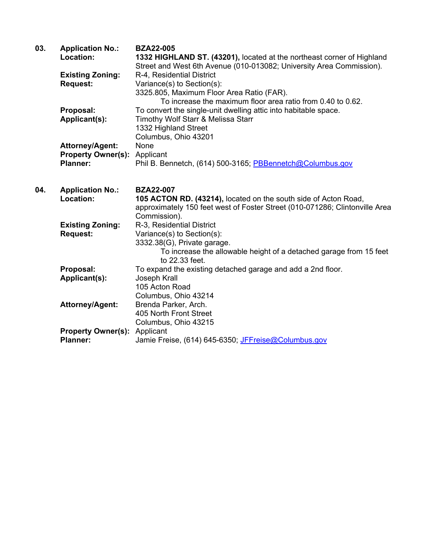| 03. | <b>Application No.:</b><br>Location:         | <b>BZA22-005</b><br>1332 HIGHLAND ST. (43201), located at the northeast corner of Highland<br>Street and West 6th Avenue (010-013082; University Area Commission). |
|-----|----------------------------------------------|--------------------------------------------------------------------------------------------------------------------------------------------------------------------|
|     | <b>Existing Zoning:</b>                      | R-4, Residential District                                                                                                                                          |
|     | <b>Request:</b>                              | Variance(s) to Section(s):                                                                                                                                         |
|     |                                              | 3325.805, Maximum Floor Area Ratio (FAR).                                                                                                                          |
|     |                                              | To increase the maximum floor area ratio from 0.40 to 0.62.                                                                                                        |
|     | Proposal:                                    | To convert the single-unit dwelling attic into habitable space.                                                                                                    |
|     | Applicant(s):                                | Timothy Wolf Starr & Melissa Starr                                                                                                                                 |
|     |                                              | 1332 Highland Street                                                                                                                                               |
|     |                                              | Columbus, Ohio 43201                                                                                                                                               |
|     | <b>Attorney/Agent:</b>                       | None                                                                                                                                                               |
|     | <b>Property Owner(s): Applicant</b>          |                                                                                                                                                                    |
|     | <b>Planner:</b>                              | Phil B. Bennetch, (614) 500-3165; PBBennetch@Columbus.gov                                                                                                          |
|     |                                              |                                                                                                                                                                    |
| 04. | <b>Application No.:</b>                      | <b>BZA22-007</b>                                                                                                                                                   |
|     | Location:                                    | 105 ACTON RD. (43214), located on the south side of Acton Road,                                                                                                    |
|     |                                              |                                                                                                                                                                    |
|     |                                              | approximately 150 feet west of Foster Street (010-071286; Clintonville Area                                                                                        |
|     |                                              | Commission).                                                                                                                                                       |
|     | <b>Existing Zoning:</b>                      | R-3, Residential District                                                                                                                                          |
|     | <b>Request:</b>                              | Variance(s) to Section(s):                                                                                                                                         |
|     |                                              | 3332.38(G), Private garage.                                                                                                                                        |
|     |                                              | To increase the allowable height of a detached garage from 15 feet                                                                                                 |
|     |                                              | to 22.33 feet.                                                                                                                                                     |
|     | Proposal:                                    | To expand the existing detached garage and add a 2nd floor.                                                                                                        |
|     | Applicant(s):                                | Joseph Krall                                                                                                                                                       |
|     |                                              | 105 Acton Road                                                                                                                                                     |
|     |                                              | Columbus, Ohio 43214                                                                                                                                               |
|     | <b>Attorney/Agent:</b>                       | Brenda Parker, Arch.                                                                                                                                               |
|     |                                              | 405 North Front Street                                                                                                                                             |
|     |                                              | Columbus, Ohio 43215                                                                                                                                               |
|     | <b>Property Owner(s):</b><br><b>Planner:</b> | Applicant<br>Jamie Freise, (614) 645-6350; JFFreise@Columbus.gov                                                                                                   |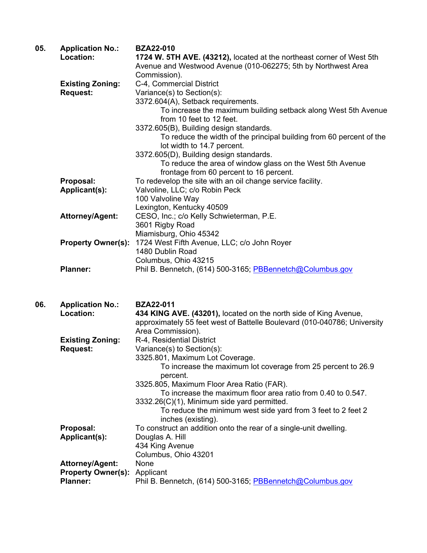| 05. | <b>Application No.:</b><br>Location: | <b>BZA22-010</b><br>1724 W. 5TH AVE. (43212), located at the northeast corner of West 5th            |
|-----|--------------------------------------|------------------------------------------------------------------------------------------------------|
|     |                                      | Avenue and Westwood Avenue (010-062275; 5th by Northwest Area                                        |
|     |                                      | Commission).                                                                                         |
|     | <b>Existing Zoning:</b>              | C-4, Commercial District                                                                             |
|     | <b>Request:</b>                      | Variance(s) to Section(s):                                                                           |
|     |                                      | 3372.604(A), Setback requirements.                                                                   |
|     |                                      | To increase the maximum building setback along West 5th Avenue<br>from 10 feet to 12 feet.           |
|     |                                      | 3372.605(B), Building design standards.                                                              |
|     |                                      | To reduce the width of the principal building from 60 percent of the<br>lot width to 14.7 percent.   |
|     |                                      | 3372.605(D), Building design standards.                                                              |
|     |                                      | To reduce the area of window glass on the West 5th Avenue<br>frontage from 60 percent to 16 percent. |
|     | Proposal:                            | To redevelop the site with an oil change service facility.                                           |
|     | <b>Applicant(s):</b>                 | Valvoline, LLC; c/o Robin Peck                                                                       |
|     |                                      | 100 Valvoline Way                                                                                    |
|     |                                      | Lexington, Kentucky 40509                                                                            |
|     | <b>Attorney/Agent:</b>               | CESO, Inc.; c/o Kelly Schwieterman, P.E.                                                             |
|     |                                      | 3601 Rigby Road                                                                                      |
|     |                                      | Miamisburg, Ohio 45342                                                                               |
|     | <b>Property Owner(s):</b>            | 1724 West Fifth Avenue, LLC; c/o John Royer                                                          |
|     |                                      | 1480 Dublin Road                                                                                     |
|     |                                      | Columbus, Ohio 43215                                                                                 |
|     | <b>Planner:</b>                      | Phil B. Bennetch, (614) 500-3165; PBBennetch@Columbus.gov                                            |
| 06. | <b>Application No.:</b>              | <b>BZA22-011</b>                                                                                     |
|     | l ocation:                           | A34 KING AVE (A3201) located on the porth side of King Avenue                                        |

| vv. | Application No                      | 82224-VII                                                                          |
|-----|-------------------------------------|------------------------------------------------------------------------------------|
|     | Location:                           | 434 KING AVE. (43201), located on the north side of King Avenue,                   |
|     |                                     | approximately 55 feet west of Battelle Boulevard (010-040786; University           |
|     |                                     | Area Commission).                                                                  |
|     | <b>Existing Zoning:</b>             | R-4, Residential District                                                          |
|     |                                     |                                                                                    |
|     | <b>Request:</b>                     | Variance(s) to Section(s):                                                         |
|     |                                     | 3325.801, Maximum Lot Coverage.                                                    |
|     |                                     | To increase the maximum lot coverage from 25 percent to 26.9<br>percent.           |
|     |                                     | 3325.805, Maximum Floor Area Ratio (FAR).                                          |
|     |                                     | To increase the maximum floor area ratio from 0.40 to 0.547.                       |
|     |                                     | 3332.26(C)(1), Minimum side yard permitted.                                        |
|     |                                     | To reduce the minimum west side yard from 3 feet to 2 feet 2<br>inches (existing). |
|     | Proposal:                           | To construct an addition onto the rear of a single-unit dwelling.                  |
|     | Applicant(s):                       | Douglas A. Hill                                                                    |
|     |                                     | 434 King Avenue                                                                    |
|     |                                     | Columbus, Ohio 43201                                                               |
|     | <b>Attorney/Agent:</b>              | None                                                                               |
|     | <b>Property Owner(s): Applicant</b> |                                                                                    |
|     |                                     |                                                                                    |
|     | <b>Planner:</b>                     | Phil B. Bennetch, (614) 500-3165; PBBennetch@Columbus.gov                          |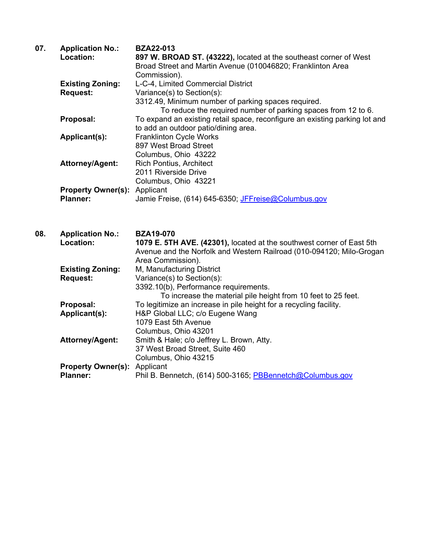| 07. | <b>Application No.:</b><br>Location:         | <b>BZA22-013</b><br>897 W. BROAD ST. (43222), located at the southeast corner of West<br>Broad Street and Martin Avenue (010046820; Franklinton Area<br>Commission).                           |
|-----|----------------------------------------------|------------------------------------------------------------------------------------------------------------------------------------------------------------------------------------------------|
|     | <b>Existing Zoning:</b><br><b>Request:</b>   | L-C-4, Limited Commercial District<br>Variance(s) to Section(s):<br>3312.49, Minimum number of parking spaces required.<br>To reduce the required number of parking spaces from 12 to 6.       |
|     | Proposal:                                    | To expand an existing retail space, reconfigure an existing parking lot and<br>to add an outdoor patio/dining area.                                                                            |
|     | <b>Applicant(s):</b>                         | <b>Franklinton Cycle Works</b><br>897 West Broad Street<br>Columbus, Ohio 43222                                                                                                                |
|     | <b>Attorney/Agent:</b>                       | <b>Rich Pontius, Architect</b><br>2011 Riverside Drive<br>Columbus, Ohio 43221                                                                                                                 |
|     | <b>Property Owner(s):</b><br><b>Planner:</b> | Applicant<br>Jamie Freise, (614) 645-6350; JFFreise@Columbus.gov                                                                                                                               |
| 08. | <b>Application No.:</b>                      | <b>BZA19-070</b>                                                                                                                                                                               |
|     | Location:                                    | 1079 E. 5TH AVE. (42301), located at the southwest corner of East 5th<br>Avenue and the Norfolk and Western Railroad (010-094120; Milo-Grogan                                                  |
|     | <b>Existing Zoning:</b><br><b>Request:</b>   | Area Commission).<br>M, Manufacturing District<br>Variance(s) to Section(s):<br>3392.10(b), Performance requirements.                                                                          |
|     | Proposal:<br>Applicant(s):                   | To increase the material pile height from 10 feet to 25 feet.<br>To legitimize an increase in pile height for a recycling facility.<br>H&P Global LLC; c/o Eugene Wang<br>1079 East 5th Avenue |
|     | Attorney/Agent:<br><b>Property Owner(s):</b> | Columbus, Ohio 43201<br>Smith & Hale; c/o Jeffrey L. Brown, Atty.<br>37 West Broad Street, Suite 460<br>Columbus, Ohio 43215<br>Applicant                                                      |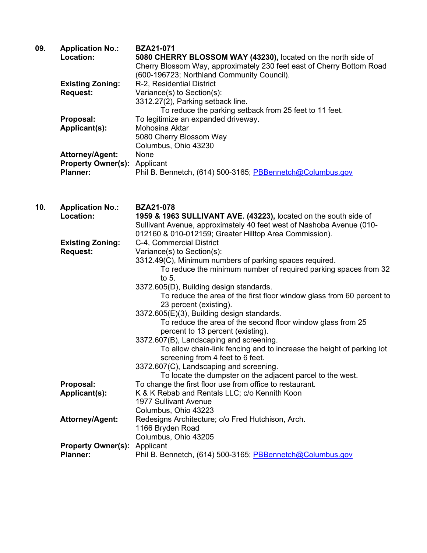| 09. | <b>Application No.:</b>             | <b>BZA21-071</b>                                                      |
|-----|-------------------------------------|-----------------------------------------------------------------------|
|     | Location:                           | 5080 CHERRY BLOSSOM WAY (43230), located on the north side of         |
|     |                                     | Cherry Blossom Way, approximately 230 feet east of Cherry Bottom Road |
|     |                                     | (600-196723; Northland Community Council).                            |
|     | <b>Existing Zoning:</b>             | R-2, Residential District                                             |
|     | <b>Request:</b>                     | Variance(s) to Section(s):                                            |
|     |                                     | 3312.27(2), Parking setback line.                                     |
|     |                                     | To reduce the parking setback from 25 feet to 11 feet.                |
|     | Proposal:                           | To legitimize an expanded driveway.                                   |
|     | Applicant(s):                       | Mohosina Aktar                                                        |
|     |                                     | 5080 Cherry Blossom Way                                               |
|     |                                     | Columbus, Ohio 43230                                                  |
|     | <b>Attorney/Agent:</b>              | None                                                                  |
|     | <b>Property Owner(s): Applicant</b> |                                                                       |
|     | <b>Planner:</b>                     | Phil B. Bennetch, (614) 500-3165; PBBennetch@Columbus.gov             |

**10. Application No.: BZA21-078 Location: 1959 & 1963 SULLIVANT AVE. (43223),** located on the south side of Sullivant Avenue, approximately 40 feet west of Nashoba Avenue (010- 012160 & 010-012159; Greater Hilltop Area Commission).  **Existing Zoning:** C-4, Commercial District **Request:** Variance(s) to Section(s): 3312.49(C), Minimum numbers of parking spaces required. To reduce the minimum number of required parking spaces from 32 to 5. 3372.605(D), Building design standards. To reduce the area of the first floor window glass from 60 percent to 23 percent (existing). 3372.605(E)(3), Building design standards. To reduce the area of the second floor window glass from 25 percent to 13 percent (existing). 3372.607(B), Landscaping and screening. To allow chain-link fencing and to increase the height of parking lot screening from 4 feet to 6 feet. 3372.607(C), Landscaping and screening. To locate the dumpster on the adjacent parcel to the west. **Proposal:** To change the first floor use from office to restaurant. **Applicant(s):** K & K Rebab and Rentals LLC; c/o Kennith Koon 1977 Sullivant Avenue Columbus, Ohio 43223 Attorney/Agent: Redesigns Architecture; c/o Fred Hutchison, Arch. 1166 Bryden Road Columbus, Ohio 43205 **Property Owner(s):** Applicant **Planner:** Phil B. Bennetch, (614) 500-3165; PBBennetch@Columbus.gov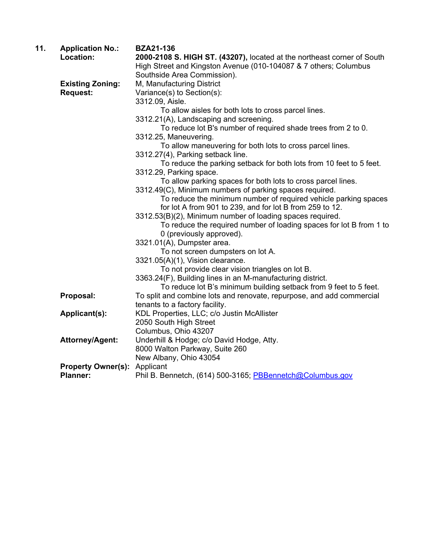| 11. | <b>Application No.:</b>   | <b>BZA21-136</b>                                                        |
|-----|---------------------------|-------------------------------------------------------------------------|
|     | Location:                 | 2000-2108 S. HIGH ST. (43207), located at the northeast corner of South |
|     |                           | High Street and Kingston Avenue (010-104087 & 7 others; Columbus        |
|     |                           | Southside Area Commission).                                             |
|     | <b>Existing Zoning:</b>   | M, Manufacturing District                                               |
|     | <b>Request:</b>           | Variance(s) to Section(s):                                              |
|     |                           | 3312.09, Aisle.                                                         |
|     |                           | To allow aisles for both lots to cross parcel lines.                    |
|     |                           | 3312.21(A), Landscaping and screening.                                  |
|     |                           | To reduce lot B's number of required shade trees from 2 to 0.           |
|     |                           | 3312.25, Maneuvering.                                                   |
|     |                           | To allow maneuvering for both lots to cross parcel lines.               |
|     |                           | 3312.27(4), Parking setback line.                                       |
|     |                           | To reduce the parking setback for both lots from 10 feet to 5 feet.     |
|     |                           | 3312.29, Parking space.                                                 |
|     |                           | To allow parking spaces for both lots to cross parcel lines.            |
|     |                           | 3312.49(C), Minimum numbers of parking spaces required.                 |
|     |                           | To reduce the minimum number of required vehicle parking spaces         |
|     |                           | for lot A from 901 to 239, and for lot B from 259 to 12.                |
|     |                           | 3312.53(B)(2), Minimum number of loading spaces required.               |
|     |                           | To reduce the required number of loading spaces for lot B from 1 to     |
|     |                           | 0 (previously approved).                                                |
|     |                           | 3321.01(A), Dumpster area.                                              |
|     |                           | To not screen dumpsters on lot A.                                       |
|     |                           | 3321.05(A)(1), Vision clearance.                                        |
|     |                           | To not provide clear vision triangles on lot B.                         |
|     |                           | 3363.24(F), Building lines in an M-manufacturing district.              |
|     |                           | To reduce lot B's minimum building setback from 9 feet to 5 feet.       |
|     | Proposal:                 | To split and combine lots and renovate, repurpose, and add commercial   |
|     |                           | tenants to a factory facility.                                          |
|     | Applicant(s):             | KDL Properties, LLC; c/o Justin McAllister                              |
|     |                           | 2050 South High Street                                                  |
|     |                           | Columbus, Ohio 43207                                                    |
|     | <b>Attorney/Agent:</b>    | Underhill & Hodge; c/o David Hodge, Atty.                               |
|     |                           | 8000 Walton Parkway, Suite 260                                          |
|     |                           | New Albany, Ohio 43054                                                  |
|     | <b>Property Owner(s):</b> | Applicant                                                               |
|     | <b>Planner:</b>           | Phil B. Bennetch, (614) 500-3165; PBBennetch@Columbus.gov               |
|     |                           |                                                                         |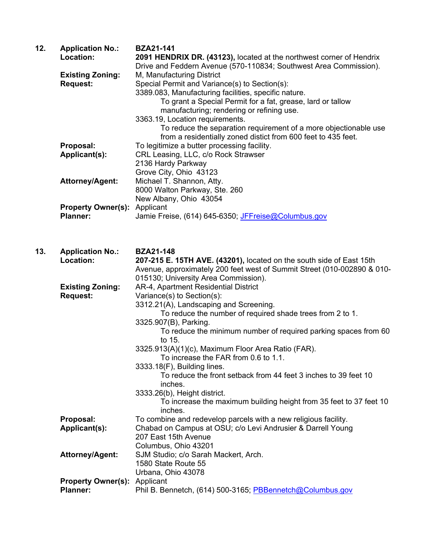| 12. | <b>Application No.:</b><br>Location:       | <b>BZA21-141</b><br>2091 HENDRIX DR. (43123), located at the northwest corner of Hendrix<br>Drive and Feddern Avenue (570-110834; Southwest Area Commission).                                     |
|-----|--------------------------------------------|---------------------------------------------------------------------------------------------------------------------------------------------------------------------------------------------------|
|     | <b>Existing Zoning:</b><br><b>Request:</b> | M, Manufacturing District<br>Special Permit and Variance(s) to Section(s):<br>3389.083, Manufacturing facilities, specific nature.<br>To grant a Special Permit for a fat, grease, lard or tallow |
|     |                                            | manufacturing; rendering or refining use.<br>3363.19, Location requirements.<br>To reduce the separation requirement of a more objectionable use                                                  |
|     | Proposal:<br>Applicant(s):                 | from a residentially zoned distict from 600 feet to 435 feet.<br>To legitimize a butter processing facility.<br>CRL Leasing, LLC, c/o Rock Strawser                                               |
|     | <b>Attorney/Agent:</b>                     | 2136 Hardy Parkway<br>Grove City, Ohio 43123<br>Michael T. Shannon, Atty.                                                                                                                         |
|     | <b>Property Owner(s):</b>                  | 8000 Walton Parkway, Ste. 260<br>New Albany, Ohio 43054<br>Applicant                                                                                                                              |
|     | <b>Planner:</b>                            | Jamie Freise, (614) 645-6350; JFFreise@Columbus.gov                                                                                                                                               |
| 13. | <b>Application No.:</b>                    | <b>BZA21-148</b>                                                                                                                                                                                  |
|     | Location:                                  | 207-215 E. 15TH AVE. (43201), located on the south side of East 15th<br>Avenue, approximately 200 feet west of Summit Street (010-002890 & 010-<br>015130; University Area Commission).           |
|     | <b>Existing Zoning:</b><br><b>Request:</b> | AR-4, Apartment Residential District<br>Variance(s) to Section(s):<br>3312.21(A), Landscaping and Screening.                                                                                      |
|     |                                            | To reduce the number of required shade trees from 2 to 1.<br>3325.907(B), Parking.                                                                                                                |
|     |                                            | To reduce the minimum number of required parking spaces from 60<br>to 15.<br>3325.913(A)(1)(c), Maximum Floor Area Ratio (FAR).                                                                   |
|     |                                            | To increase the FAR from 0.6 to 1.1.<br>3333.18(F), Building lines.                                                                                                                               |
|     |                                            | To reduce the front setback from 44 feet 3 inches to 39 feet 10<br>inches.<br>3333.26(b), Height district.                                                                                        |
|     |                                            | To increase the maximum building height from 35 feet to 37 feet 10<br>inches.                                                                                                                     |
|     | Proposal:<br>Applicant(s):                 | To combine and redevelop parcels with a new religious facility.<br>Chabad on Campus at OSU; c/o Levi Andrusier & Darrell Young<br>207 East 15th Avenue                                            |

SJM Studio; c/o Sarah Mackert, Arch.

Phil B. Bennetch, (614) 500-3165; PBBennetch@Columbus.gov

 1580 State Route 55 Urbana, Ohio 43078

Columbus, Ohio 43201<br>Attorney/Agent: SJM Studio; c/o Sarah M

**Property Owner(s):** Applicant<br>**Planner:** Phil B. Ber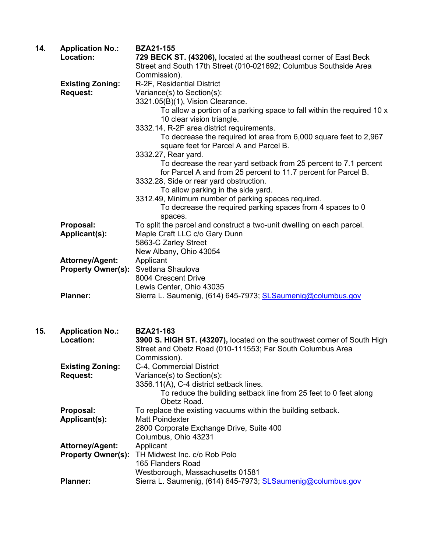| 14. | <b>Application No.:</b><br>Location:                | <b>BZA21-155</b><br>729 BECK ST. (43206), located at the southeast corner of East Beck<br>Street and South 17th Street (010-021692; Columbus Southside Area<br>Commission).                                                                                                                                                                                                                                                                                                                                                                                                                                                                                                                                                        |
|-----|-----------------------------------------------------|------------------------------------------------------------------------------------------------------------------------------------------------------------------------------------------------------------------------------------------------------------------------------------------------------------------------------------------------------------------------------------------------------------------------------------------------------------------------------------------------------------------------------------------------------------------------------------------------------------------------------------------------------------------------------------------------------------------------------------|
|     | <b>Existing Zoning:</b><br><b>Request:</b>          | R-2F, Residential District<br>Variance(s) to Section(s):<br>3321.05(B)(1), Vision Clearance.<br>To allow a portion of a parking space to fall within the required 10 x<br>10 clear vision triangle.<br>3332.14, R-2F area district requirements.<br>To decrease the required lot area from 6,000 square feet to 2,967<br>square feet for Parcel A and Parcel B.<br>3332.27, Rear yard.<br>To decrease the rear yard setback from 25 percent to 7.1 percent<br>for Parcel A and from 25 percent to 11.7 percent for Parcel B.<br>3332.28, Side or rear yard obstruction.<br>To allow parking in the side yard.<br>3312.49, Minimum number of parking spaces required.<br>To decrease the required parking spaces from 4 spaces to 0 |
|     | Proposal:<br>Applicant(s):                          | spaces.<br>To split the parcel and construct a two-unit dwelling on each parcel.<br>Maple Craft LLC c/o Gary Dunn<br>5863-C Zarley Street<br>New Albany, Ohio 43054                                                                                                                                                                                                                                                                                                                                                                                                                                                                                                                                                                |
|     | <b>Attorney/Agent:</b><br><b>Property Owner(s):</b> | Applicant<br>Svetlana Shaulova<br>8004 Crescent Drive<br>Lewis Center, Ohio 43035                                                                                                                                                                                                                                                                                                                                                                                                                                                                                                                                                                                                                                                  |
|     | <b>Planner:</b>                                     | Sierra L. Saumenig, (614) 645-7973; <b>SL Saumenig@columbus.gov</b>                                                                                                                                                                                                                                                                                                                                                                                                                                                                                                                                                                                                                                                                |
| 15. | <b>Application No.:</b><br>Location:                | <b>BZA21-163</b><br>3900 S. HIGH ST. (43207), located on the southwest corner of South High<br>Street and Obetz Road (010-111553; Far South Columbus Area<br>Commission).                                                                                                                                                                                                                                                                                                                                                                                                                                                                                                                                                          |
|     | <b>Existing Zoning:</b><br><b>Request:</b>          | C-4, Commercial District<br>Variance(s) to Section(s):<br>3356.11(A), C-4 district setback lines.<br>To reduce the building setback line from 25 feet to 0 feet along<br>Obetz Road.                                                                                                                                                                                                                                                                                                                                                                                                                                                                                                                                               |
|     | Proposal:<br><b>Applicant(s):</b>                   | To replace the existing vacuums within the building setback.<br><b>Matt Poindexter</b>                                                                                                                                                                                                                                                                                                                                                                                                                                                                                                                                                                                                                                             |

2800 Corporate Exchange Drive, Suite 400

Planner: Sierra L. Saumenig, (614) 645-7973; **SLSaumenig@columbus.gov** 

Westborough, Massachusetts 01581

**Property Owner(s):** TH Midwest Inc. c/o Rob Polo

**Attorney/Agent:** 

Columbus, Ohio 43231

165 Flanders Road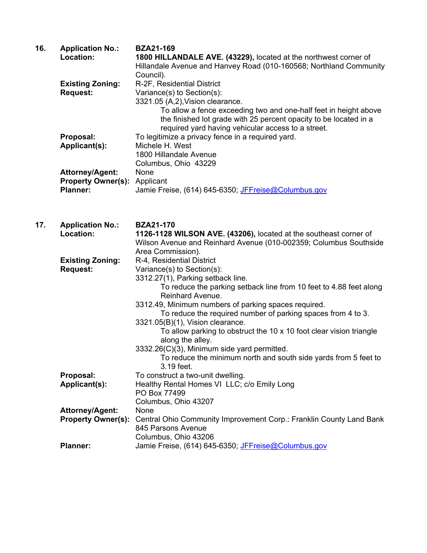| 16. | <b>Application No.:</b><br>Location:                            | <b>BZA21-169</b><br>1800 HILLANDALE AVE. (43229), located at the northwest corner of<br>Hillandale Avenue and Hanvey Road (010-160568; Northland Community<br>Council).                                                                                                                                                                                                                                                                                                                                                                                                       |
|-----|-----------------------------------------------------------------|-------------------------------------------------------------------------------------------------------------------------------------------------------------------------------------------------------------------------------------------------------------------------------------------------------------------------------------------------------------------------------------------------------------------------------------------------------------------------------------------------------------------------------------------------------------------------------|
|     | <b>Existing Zoning:</b><br><b>Request:</b>                      | R-2F, Residential District<br>Variance(s) to Section(s):<br>3321.05 (A,2), Vision clearance.<br>To allow a fence exceeding two and one-half feet in height above<br>the finished lot grade with 25 percent opacity to be located in a<br>required yard having vehicular access to a street.                                                                                                                                                                                                                                                                                   |
|     | Proposal:<br>Applicant(s):                                      | To legitimize a privacy fence in a required yard.<br>Michele H. West<br>1800 Hillandale Avenue<br>Columbus, Ohio 43229                                                                                                                                                                                                                                                                                                                                                                                                                                                        |
|     | Attorney/Agent:<br><b>Property Owner(s):</b><br><b>Planner:</b> | None<br>Applicant<br>Jamie Freise, (614) 645-6350; JFFreise@Columbus.gov                                                                                                                                                                                                                                                                                                                                                                                                                                                                                                      |
| 17. | <b>Application No.:</b><br>Location:                            | <b>BZA21-170</b><br>1126-1128 WILSON AVE. (43206), located at the southeast corner of<br>Wilson Avenue and Reinhard Avenue (010-002359; Columbus Southside<br>Area Commission).                                                                                                                                                                                                                                                                                                                                                                                               |
|     | <b>Existing Zoning:</b><br><b>Request:</b>                      | R-4, Residential District<br>Variance(s) to Section(s):<br>3312.27(1), Parking setback line.<br>To reduce the parking setback line from 10 feet to 4.88 feet along<br>Reinhard Avenue.<br>3312.49, Minimum numbers of parking spaces required.<br>To reduce the required number of parking spaces from 4 to 3.<br>3321.05(B)(1), Vision clearance.<br>To allow parking to obstruct the 10 x 10 foot clear vision triangle<br>along the alley.<br>3332.26(C)(3), Minimum side yard permitted.<br>To reduce the minimum north and south side yards from 5 feet to<br>3.19 feet. |
|     | Proposal:<br>Applicant(s):                                      | To construct a two-unit dwelling.<br>Healthy Rental Homes VI LLC; c/o Emily Long<br>PO Box 77499<br>Columbus, Ohio 43207                                                                                                                                                                                                                                                                                                                                                                                                                                                      |
|     | <b>Attorney/Agent:</b><br><b>Property Owner(s):</b>             | None<br>Central Ohio Community Improvement Corp.: Franklin County Land Bank<br>845 Parsons Avenue<br>Columbus, Ohio 43206                                                                                                                                                                                                                                                                                                                                                                                                                                                     |
|     | <b>Planner:</b>                                                 | Jamie Freise, (614) 645-6350; JFFreise@Columbus.gov                                                                                                                                                                                                                                                                                                                                                                                                                                                                                                                           |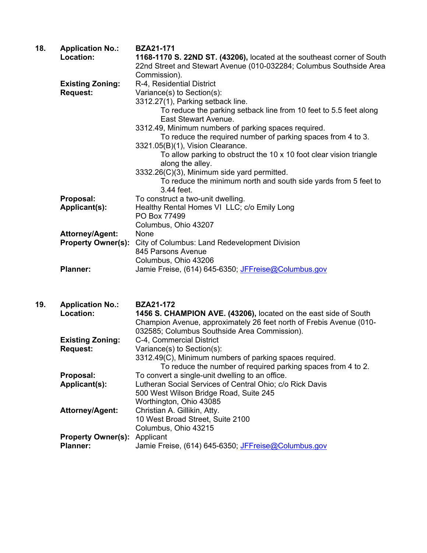| 18. | <b>Application No.:</b>   | <b>BZA21-171</b>                                                                          |
|-----|---------------------------|-------------------------------------------------------------------------------------------|
|     | Location:                 | 1168-1170 S. 22ND ST. (43206), located at the southeast corner of South                   |
|     |                           | 22nd Street and Stewart Avenue (010-032284; Columbus Southside Area                       |
|     |                           | Commission).                                                                              |
|     | <b>Existing Zoning:</b>   | R-4, Residential District                                                                 |
|     | <b>Request:</b>           | Variance(s) to Section(s):                                                                |
|     |                           | 3312.27(1), Parking setback line.                                                         |
|     |                           | To reduce the parking setback line from 10 feet to 5.5 feet along<br>East Stewart Avenue. |
|     |                           | 3312.49, Minimum numbers of parking spaces required.                                      |
|     |                           | To reduce the required number of parking spaces from 4 to 3.                              |
|     |                           | 3321.05(B)(1), Vision Clearance.                                                          |
|     |                           | To allow parking to obstruct the 10 x 10 foot clear vision triangle<br>along the alley.   |
|     |                           | 3332.26(C)(3), Minimum side yard permitted.                                               |
|     |                           | To reduce the minimum north and south side yards from 5 feet to<br>3.44 feet.             |
|     | Proposal:                 | To construct a two-unit dwelling.                                                         |
|     | Applicant(s):             | Healthy Rental Homes VI LLC; c/o Emily Long                                               |
|     |                           | PO Box 77499                                                                              |
|     |                           | Columbus, Ohio 43207                                                                      |
|     | Attorney/Agent:           | None                                                                                      |
|     | <b>Property Owner(s):</b> | City of Columbus: Land Redevelopment Division                                             |
|     |                           | 845 Parsons Avenue                                                                        |
|     |                           | Columbus, Ohio 43206                                                                      |
|     | <b>Planner:</b>           | Jamie Freise, (614) 645-6350; JFFreise@Columbus.gov                                       |
|     |                           |                                                                                           |
| 10. | Annlication No.           | R7891_179                                                                                 |

| 19. | <b>Application No.:</b>             | <b>BZAZ1-172</b>                                                    |
|-----|-------------------------------------|---------------------------------------------------------------------|
|     | Location:                           | 1456 S. CHAMPION AVE. (43206), located on the east side of South    |
|     |                                     | Champion Avenue, approximately 26 feet north of Frebis Avenue (010- |
|     |                                     | 032585; Columbus Southside Area Commission).                        |
|     | <b>Existing Zoning:</b>             | C-4, Commercial District                                            |
|     | <b>Request:</b>                     | Variance(s) to Section(s):                                          |
|     |                                     | 3312.49(C), Minimum numbers of parking spaces required.             |
|     |                                     | To reduce the number of required parking spaces from 4 to 2.        |
|     | Proposal:                           | To convert a single-unit dwelling to an office.                     |
|     | Applicant(s):                       | Lutheran Social Services of Central Ohio; c/o Rick Davis            |
|     |                                     | 500 West Wilson Bridge Road, Suite 245                              |
|     |                                     | Worthington, Ohio 43085                                             |
|     | <b>Attorney/Agent:</b>              | Christian A. Gillikin, Atty.                                        |
|     |                                     | 10 West Broad Street, Suite 2100                                    |
|     |                                     | Columbus, Ohio 43215                                                |
|     | <b>Property Owner(s): Applicant</b> |                                                                     |
|     | <b>Planner:</b>                     | Jamie Freise, (614) 645-6350; JFFreise@Columbus.gov                 |
|     |                                     |                                                                     |